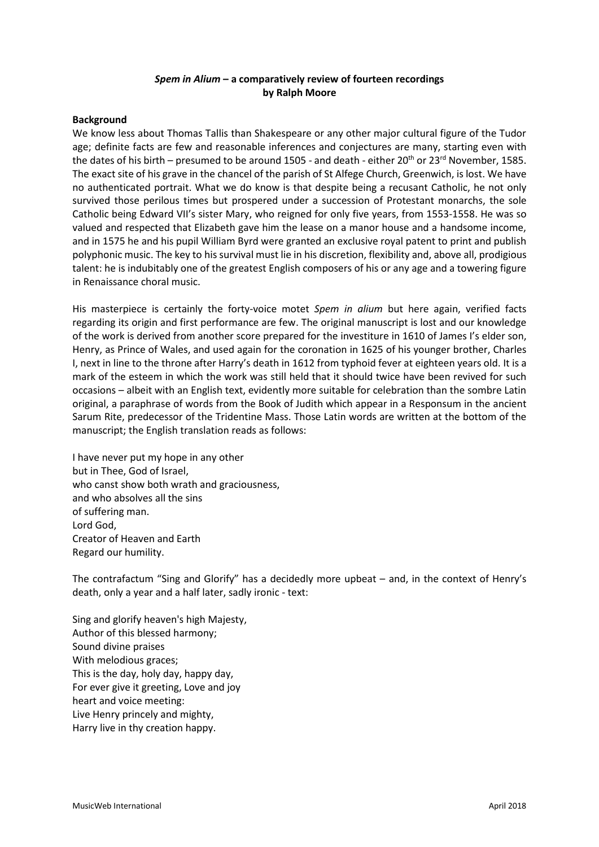## *Spem in Alium* **– a comparatively review of fourteen recordings by Ralph Moore**

#### **Background**

We know less about Thomas Tallis than Shakespeare or any other major cultural figure of the Tudor age; definite facts are few and reasonable inferences and conjectures are many, starting even with the dates of his birth – presumed to be around 1505 - and death - either  $20^{th}$  or  $23^{rd}$  November, 1585. The exact site of his grave in the chancel of the parish of St Alfege Church, Greenwich, is lost. We have no authenticated portrait. What we do know is that despite being a recusant Catholic, he not only survived those perilous times but prospered under a succession of Protestant monarchs, the sole Catholic being Edward VII's sister Mary, who reigned for only five years, from 1553-1558. He was so valued and respected that Elizabeth gave him the lease on a manor house and a handsome income, and in 1575 he and his pupil William Byrd were granted an exclusive royal patent to print and publish polyphonic music. The key to his survival must lie in his discretion, flexibility and, above all, prodigious talent: he is indubitably one of the greatest English composers of his or any age and a towering figure in Renaissance choral music.

His masterpiece is certainly the forty-voice motet *Spem in alium* but here again, verified facts regarding its origin and first performance are few. The original manuscript is lost and our knowledge of the work is derived from another score prepared for the investiture in 1610 of James I's elder son, Henry, as Prince of Wales, and used again for the coronation in 1625 of his younger brother, Charles I, next in line to the throne after Harry's death in 1612 from typhoid fever at eighteen years old. It is a mark of the esteem in which the work was still held that it should twice have been revived for such occasions – albeit with an English text, evidently more suitable for celebration than the sombre Latin original, a paraphrase of words from the Book of Judith which appear in a Responsum in the ancient Sarum Rite, predecessor of the Tridentine Mass. Those Latin words are written at the bottom of the manuscript; the English translation reads as follows:

I have never put my hope in any other but in Thee, God of Israel, who canst show both wrath and graciousness, and who absolves all the sins of suffering man. Lord God, Creator of Heaven and Earth Regard our humility.

The contrafactum "Sing and Glorify" has a decidedly more upbeat – and, in the context of Henry's death, only a year and a half later, sadly ironic - text:

Sing and glorify heaven's high Majesty, Author of this blessed harmony; Sound divine praises With melodious graces; This is the day, holy day, happy day, For ever give it greeting, Love and joy heart and voice meeting: Live Henry princely and mighty, Harry live in thy creation happy.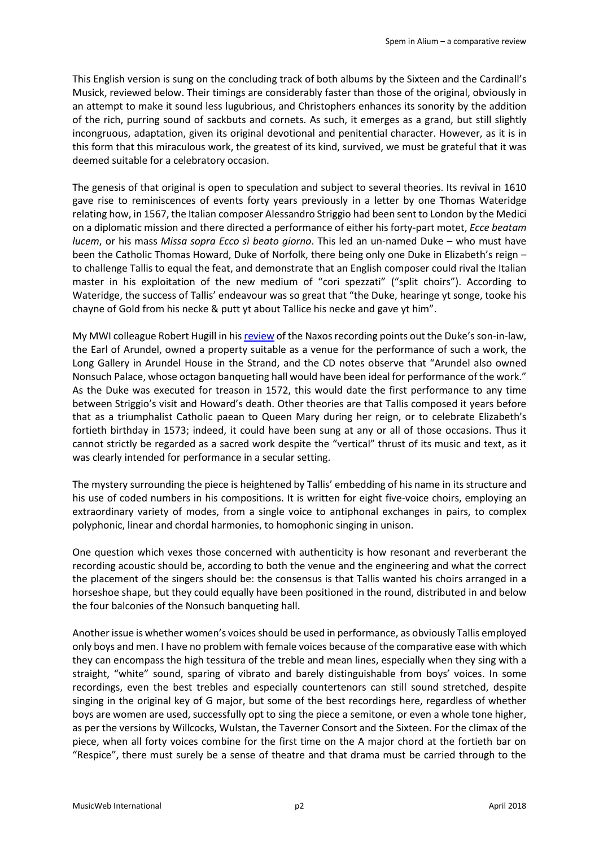This English version is sung on the concluding track of both albums by the Sixteen and the Cardinall's Musick, reviewed below. Their timings are considerably faster than those of the original, obviously in an attempt to make it sound less lugubrious, and Christophers enhances its sonority by the addition of the rich, purring sound of sackbuts and cornets. As such, it emerges as a grand, but still slightly incongruous, adaptation, given its original devotional and penitential character. However, as it is in this form that this miraculous work, the greatest of its kind, survived, we must be grateful that it was deemed suitable for a celebratory occasion.

The genesis of that original is open to speculation and subject to several theories. Its revival in 1610 gave rise to reminiscences of events forty years previously in a letter by one Thomas Wateridge relating how, in 1567, the Italian composer Alessandro Striggio had been sent to London by the Medici on a diplomatic mission and there directed a performance of either his forty-part motet, *Ecce beatam lucem*, or his mass *Missa sopra Ecco sì beato giorno*. This led an un-named Duke – who must have been the Catholic Thomas Howard, Duke of Norfolk, there being only one Duke in Elizabeth's reign – to challenge Tallis to equal the feat, and demonstrate that an English composer could rival the Italian master in his exploitation of the new medium of "cori spezzati" ("split choirs"). According to Wateridge, the success of Tallis' endeavour was so great that "the Duke, hearinge yt songe, tooke his chayne of Gold from his necke & putt yt about Tallice his necke and gave yt him".

My MWI colleague Robert Hugill in hi[s review](http://www.musicweb-international.com/classrev/2005/Sep05/Tallis_spem_6110111.htm) of the Naxos recording points out the Duke's son-in-law, the Earl of Arundel, owned a property suitable as a venue for the performance of such a work, the Long Gallery in Arundel House in the Strand, and the CD notes observe that "Arundel also owned Nonsuch Palace, whose octagon banqueting hall would have been ideal for performance of the work." As the Duke was executed for treason in 1572, this would date the first performance to any time between Striggio's visit and Howard's death. Other theories are that Tallis composed it years before that as a triumphalist Catholic paean to Queen Mary during her reign, or to celebrate Elizabeth's fortieth birthday in 1573; indeed, it could have been sung at any or all of those occasions. Thus it cannot strictly be regarded as a sacred work despite the "vertical" thrust of its music and text, as it was clearly intended for performance in a secular setting.

The mystery surrounding the piece is heightened by Tallis' embedding of his name in its structure and his use of coded numbers in his compositions. It is written for eight five-voice choirs, employing an extraordinary variety of modes, from a single voice to antiphonal exchanges in pairs, to complex polyphonic, linear and chordal harmonies, to homophonic singing in unison.

One question which vexes those concerned with authenticity is how resonant and reverberant the recording acoustic should be, according to both the venue and the engineering and what the correct the placement of the singers should be: the consensus is that Tallis wanted his choirs arranged in a horseshoe shape, but they could equally have been positioned in the round, distributed in and below the four balconies of the Nonsuch banqueting hall.

Another issue is whether women's voices should be used in performance, as obviously Tallis employed only boys and men. I have no problem with female voices because of the comparative ease with which they can encompass the high tessitura of the treble and mean lines, especially when they sing with a straight, "white" sound, sparing of vibrato and barely distinguishable from boys' voices. In some recordings, even the best trebles and especially countertenors can still sound stretched, despite singing in the original key of G major, but some of the best recordings here, regardless of whether boys are women are used, successfully opt to sing the piece a semitone, or even a whole tone higher, as per the versions by Willcocks, Wulstan, the Taverner Consort and the Sixteen. For the climax of the piece, when all forty voices combine for the first time on the A major chord at the fortieth bar on "Respice", there must surely be a sense of theatre and that drama must be carried through to the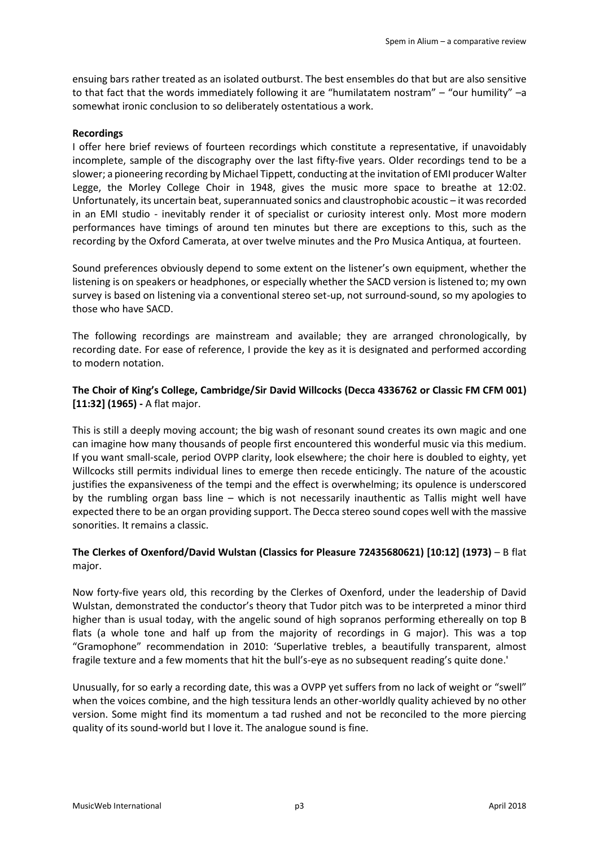ensuing bars rather treated as an isolated outburst. The best ensembles do that but are also sensitive to that fact that the words immediately following it are "humilatatem nostram" – "our humility" –a somewhat ironic conclusion to so deliberately ostentatious a work.

### **Recordings**

I offer here brief reviews of fourteen recordings which constitute a representative, if unavoidably incomplete, sample of the discography over the last fifty-five years. Older recordings tend to be a slower; a pioneering recording by Michael Tippett, conducting at the invitation of EMI producer Walter Legge, the Morley College Choir in 1948, gives the music more space to breathe at 12:02. Unfortunately, its uncertain beat, superannuated sonics and claustrophobic acoustic  $-$  it was recorded in an EMI studio - inevitably render it of specialist or curiosity interest only. Most more modern performances have timings of around ten minutes but there are exceptions to this, such as the recording by the Oxford Camerata, at over twelve minutes and the Pro Musica Antiqua, at fourteen.

Sound preferences obviously depend to some extent on the listener's own equipment, whether the listening is on speakers or headphones, or especially whether the SACD version is listened to; my own survey is based on listening via a conventional stereo set-up, not surround-sound, so my apologies to those who have SACD.

The following recordings are mainstream and available; they are arranged chronologically, by recording date. For ease of reference, I provide the key as it is designated and performed according to modern notation.

## **The Choir of King's College, Cambridge/Sir David Willcocks (Decca 4336762 or Classic FM CFM 001) [11:32] (1965) -** A flat major.

This is still a deeply moving account; the big wash of resonant sound creates its own magic and one can imagine how many thousands of people first encountered this wonderful music via this medium. If you want small-scale, period OVPP clarity, look elsewhere; the choir here is doubled to eighty, yet Willcocks still permits individual lines to emerge then recede enticingly. The nature of the acoustic justifies the expansiveness of the tempi and the effect is overwhelming; its opulence is underscored by the rumbling organ bass line – which is not necessarily inauthentic as Tallis might well have expected there to be an organ providing support. The Decca stereo sound copes well with the massive sonorities. It remains a classic.

# **The Clerkes of Oxenford/David Wulstan (Classics for Pleasure 72435680621) [10:12] (1973)** – B flat major.

Now forty-five years old, this recording by the Clerkes of Oxenford, under the leadership of David Wulstan, demonstrated the conductor's theory that Tudor pitch was to be interpreted a minor third higher than is usual today, with the angelic sound of high sopranos performing ethereally on top B flats (a whole tone and half up from the majority of recordings in G major). This was a top "Gramophone" recommendation in 2010: 'Superlative trebles, a beautifully transparent, almost fragile texture and a few moments that hit the bull's-eye as no subsequent reading's quite done.'

Unusually, for so early a recording date, this was a OVPP yet suffers from no lack of weight or "swell" when the voices combine, and the high tessitura lends an other-worldly quality achieved by no other version. Some might find its momentum a tad rushed and not be reconciled to the more piercing quality of its sound-world but I love it. The analogue sound is fine.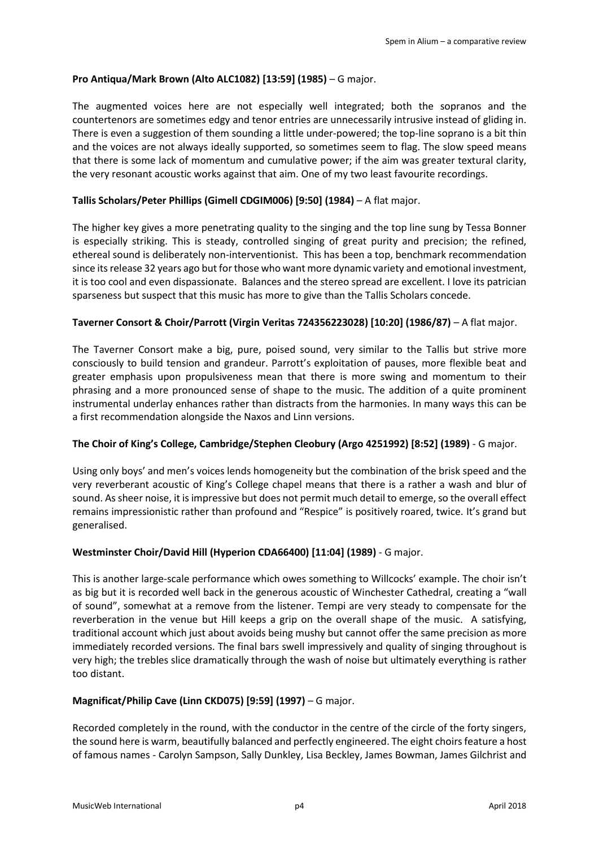## **Pro Antiqua/Mark Brown (Alto ALC1082) [13:59] (1985)** – G major.

The augmented voices here are not especially well integrated; both the sopranos and the countertenors are sometimes edgy and tenor entries are unnecessarily intrusive instead of gliding in. There is even a suggestion of them sounding a little under-powered; the top-line soprano is a bit thin and the voices are not always ideally supported, so sometimes seem to flag. The slow speed means that there is some lack of momentum and cumulative power; if the aim was greater textural clarity, the very resonant acoustic works against that aim. One of my two least favourite recordings.

## **Tallis Scholars/Peter Phillips (Gimell CDGIM006) [9:50] (1984)** – A flat major.

The higher key gives a more penetrating quality to the singing and the top line sung by Tessa Bonner is especially striking. This is steady, controlled singing of great purity and precision; the refined, ethereal sound is deliberately non-interventionist. This has been a top, benchmark recommendation since its release 32 years ago but for those who want more dynamic variety and emotional investment, it is too cool and even dispassionate. Balances and the stereo spread are excellent. I love its patrician sparseness but suspect that this music has more to give than the Tallis Scholars concede.

## **Taverner Consort & Choir/Parrott (Virgin Veritas 724356223028) [10:20] (1986/87)** – A flat major.

The Taverner Consort make a big, pure, poised sound, very similar to the Tallis but strive more consciously to build tension and grandeur. Parrott's exploitation of pauses, more flexible beat and greater emphasis upon propulsiveness mean that there is more swing and momentum to their phrasing and a more pronounced sense of shape to the music. The addition of a quite prominent instrumental underlay enhances rather than distracts from the harmonies. In many ways this can be a first recommendation alongside the Naxos and Linn versions.

### **The Choir of King's College, Cambridge/Stephen Cleobury (Argo 4251992) [8:52] (1989)** - G major.

Using only boys' and men's voices lends homogeneity but the combination of the brisk speed and the very reverberant acoustic of King's College chapel means that there is a rather a wash and blur of sound. As sheer noise, it is impressive but does not permit much detail to emerge, so the overall effect remains impressionistic rather than profound and "Respice" is positively roared, twice. It's grand but generalised.

# **Westminster Choir/David Hill (Hyperion CDA66400) [11:04] (1989)** - G major.

This is another large-scale performance which owes something to Willcocks' example. The choir isn't as big but it is recorded well back in the generous acoustic of Winchester Cathedral, creating a "wall of sound", somewhat at a remove from the listener. Tempi are very steady to compensate for the reverberation in the venue but Hill keeps a grip on the overall shape of the music. A satisfying, traditional account which just about avoids being mushy but cannot offer the same precision as more immediately recorded versions. The final bars swell impressively and quality of singing throughout is very high; the trebles slice dramatically through the wash of noise but ultimately everything is rather too distant.

### **Magnificat/Philip Cave (Linn CKD075) [9:59] (1997)** – G major.

Recorded completely in the round, with the conductor in the centre of the circle of the forty singers, the sound here is warm, beautifully balanced and perfectly engineered. The eight choirs feature a host of famous names - Carolyn Sampson, Sally Dunkley, Lisa Beckley, James Bowman, James Gilchrist and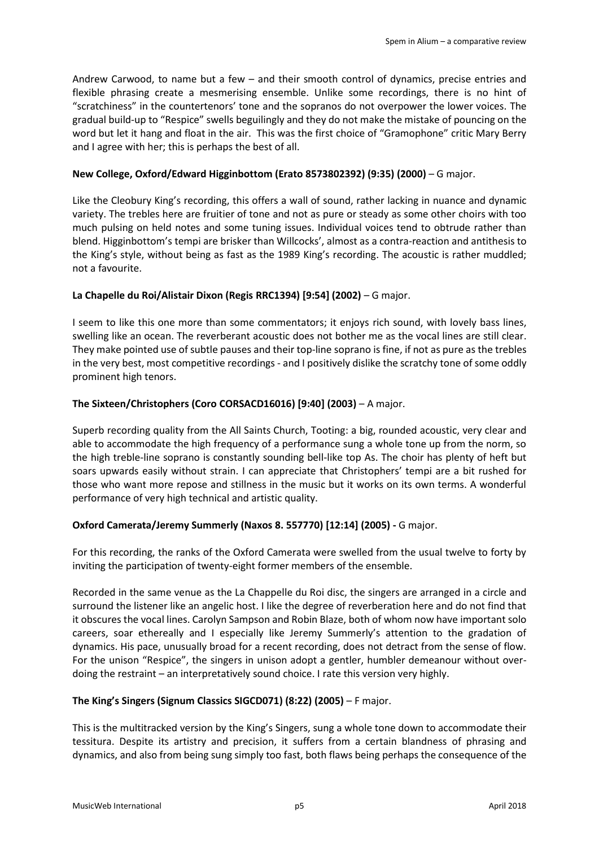Andrew Carwood, to name but a few – and their smooth control of dynamics, precise entries and flexible phrasing create a mesmerising ensemble. Unlike some recordings, there is no hint of "scratchiness" in the countertenors' tone and the sopranos do not overpower the lower voices. The gradual build-up to "Respice" swells beguilingly and they do not make the mistake of pouncing on the word but let it hang and float in the air. This was the first choice of "Gramophone" critic Mary Berry and I agree with her; this is perhaps the best of all.

## **New College, Oxford/Edward Higginbottom (Erato 8573802392) (9:35) (2000)** – G major.

Like the Cleobury King's recording, this offers a wall of sound, rather lacking in nuance and dynamic variety. The trebles here are fruitier of tone and not as pure or steady as some other choirs with too much pulsing on held notes and some tuning issues. Individual voices tend to obtrude rather than blend. Higginbottom's tempi are brisker than Willcocks', almost as a contra-reaction and antithesis to the King's style, without being as fast as the 1989 King's recording. The acoustic is rather muddled; not a favourite.

## **La Chapelle du Roi/Alistair Dixon (Regis RRC1394) [9:54] (2002)** – G major.

I seem to like this one more than some commentators; it enjoys rich sound, with lovely bass lines, swelling like an ocean. The reverberant acoustic does not bother me as the vocal lines are still clear. They make pointed use of subtle pauses and their top-line soprano is fine, if not as pure as the trebles in the very best, most competitive recordings - and I positively dislike the scratchy tone of some oddly prominent high tenors.

## **The Sixteen/Christophers (Coro CORSACD16016) [9:40] (2003)** – A major.

Superb recording quality from the All Saints Church, Tooting: a big, rounded acoustic, very clear and able to accommodate the high frequency of a performance sung a whole tone up from the norm, so the high treble-line soprano is constantly sounding bell-like top As. The choir has plenty of heft but soars upwards easily without strain. I can appreciate that Christophers' tempi are a bit rushed for those who want more repose and stillness in the music but it works on its own terms. A wonderful performance of very high technical and artistic quality.

### **Oxford Camerata/Jeremy Summerly (Naxos 8. 557770) [12:14] (2005) -** G major.

For this recording, the ranks of the Oxford Camerata were swelled from the usual twelve to forty by inviting the participation of twenty-eight former members of the ensemble.

Recorded in the same venue as the La Chappelle du Roi disc, the singers are arranged in a circle and surround the listener like an angelic host. I like the degree of reverberation here and do not find that it obscures the vocal lines. Carolyn Sampson and Robin Blaze, both of whom now have important solo careers, soar ethereally and I especially like Jeremy Summerly's attention to the gradation of dynamics. His pace, unusually broad for a recent recording, does not detract from the sense of flow. For the unison "Respice", the singers in unison adopt a gentler, humbler demeanour without overdoing the restraint – an interpretatively sound choice. I rate this version very highly.

### **The King's Singers (Signum Classics SIGCD071) (8:22) (2005)** – F major.

This is the multitracked version by the King's Singers, sung a whole tone down to accommodate their tessitura. Despite its artistry and precision, it suffers from a certain blandness of phrasing and dynamics, and also from being sung simply too fast, both flaws being perhaps the consequence of the